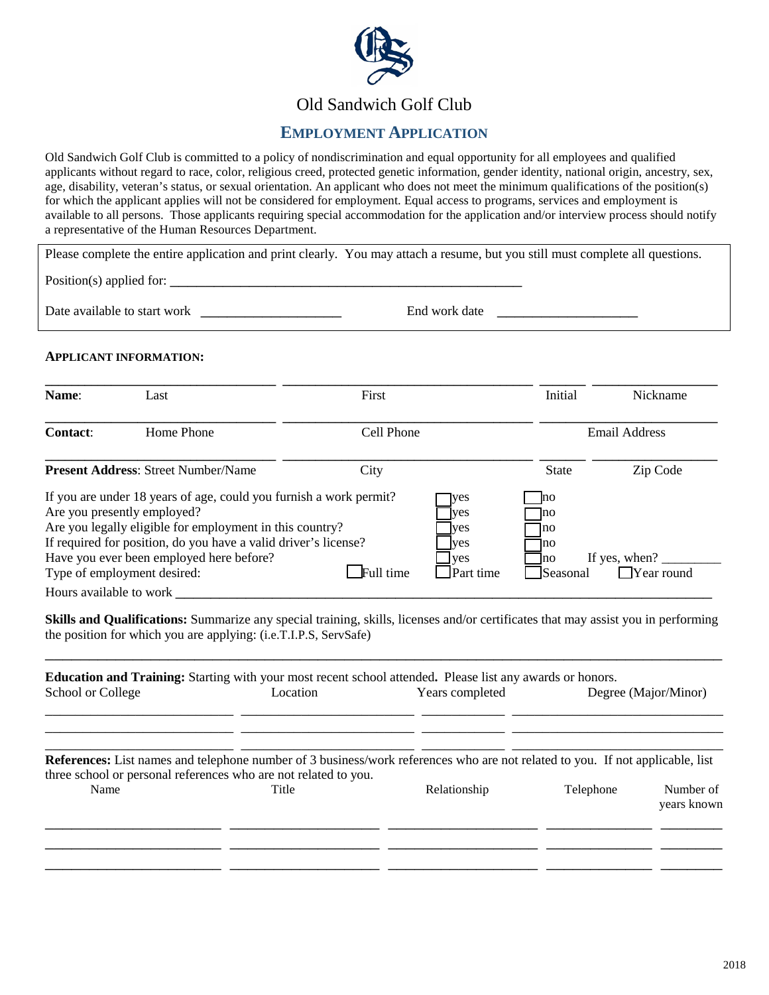

# Old Sandwich Golf Club

## **EMPLOYMENT APPLICATION**

Old Sandwich Golf Club is committed to a policy of nondiscrimination and equal opportunity for all employees and qualified applicants without regard to race, color, religious creed, protected genetic information, gender identity, national origin, ancestry, sex, age, disability, veteran's status, or sexual orientation. An applicant who does not meet the minimum qualifications of the position(s) for which the applicant applies will not be considered for employment. Equal access to programs, services and employment is available to all persons. Those applicants requiring special accommodation for the application and/or interview process should notify a representative of the Human Resources Department.

Please complete the entire application and print clearly. You may attach a resume, but you still must complete all questions.

Position(s) applied for:

Date available to start work \_\_\_\_\_\_\_\_\_\_\_\_\_\_\_\_ End work date \_\_\_\_\_\_\_\_\_\_\_\_\_\_\_\_

#### **APPLICANT INFORMATION:**

| <b>Contact:</b><br><b>Present Address: Street Number/Name</b>                                          | Home Phone                                                                                                                                                                                        | Cell Phone<br>City |                                                            | <b>State</b>                                                  | <b>Email Address</b><br>Zip Code   |
|--------------------------------------------------------------------------------------------------------|---------------------------------------------------------------------------------------------------------------------------------------------------------------------------------------------------|--------------------|------------------------------------------------------------|---------------------------------------------------------------|------------------------------------|
|                                                                                                        |                                                                                                                                                                                                   |                    |                                                            |                                                               |                                    |
|                                                                                                        |                                                                                                                                                                                                   |                    |                                                            |                                                               |                                    |
| Are you presently employed?<br>Have you ever been employed here before?<br>Type of employment desired: | If you are under 18 years of age, could you furnish a work permit?<br>Are you legally eligible for employment in this country?<br>If required for position, do you have a valid driver's license? | Full time          | yes<br><b>ves</b><br>yes<br><b>ves</b><br>yes<br>Part time | <sub>l</sub> no<br> no <br>no<br>]no<br>no<br><b>Seasonal</b> | If yes, when?<br>$\Box$ Year round |

**Skills and Qualifications:** Summarize any special training, skills, licenses and/or certificates that may assist you in performing the position for which you are applying: (i.e.T.I.P.S, ServSafe)

\_\_\_\_\_\_\_\_\_\_\_\_\_\_\_\_\_\_\_\_\_\_\_\_\_\_\_\_\_\_\_\_\_\_\_\_\_\_\_\_\_\_\_\_\_\_\_\_\_\_\_\_\_\_\_\_\_\_\_\_\_\_\_\_\_\_\_\_\_\_\_\_\_\_\_\_\_

| School or College | Location                                                                 | <b>Education and Training:</b> Starting with your most recent school attended. Please list any awards or honors.<br>Years completed                  |           | Degree (Major/Minor)     |
|-------------------|--------------------------------------------------------------------------|------------------------------------------------------------------------------------------------------------------------------------------------------|-----------|--------------------------|
| Name              | three school or personal references who are not related to you.<br>Title | <b>References:</b> List names and telephone number of 3 business/work references who are not related to you. If not applicable, list<br>Relationship | Telephone | Number of<br>years known |
|                   |                                                                          |                                                                                                                                                      |           |                          |